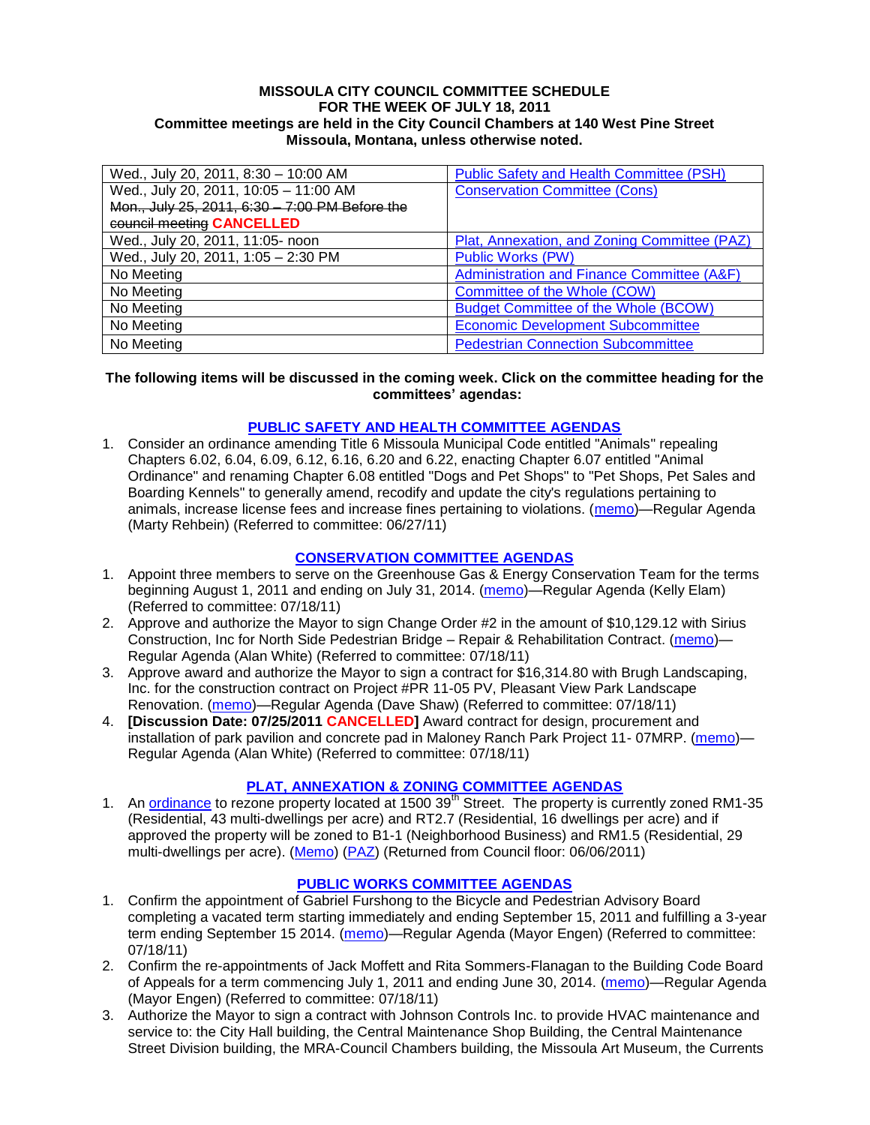#### **MISSOULA CITY COUNCIL COMMITTEE SCHEDULE FOR THE WEEK OF JULY 18, 2011 Committee meetings are held in the City Council Chambers at 140 West Pine Street Missoula, Montana, unless otherwise noted.**

| Wed., July 20, 2011, 8:30 - 10:00 AM           | <b>Public Safety and Health Committee (PSH)</b>       |
|------------------------------------------------|-------------------------------------------------------|
| Wed., July 20, 2011, 10:05 - 11:00 AM          | <b>Conservation Committee (Cons)</b>                  |
| Mon., July 25, 2011, 6:30 - 7:00 PM Before the |                                                       |
| council meeting CANCELLED                      |                                                       |
| Wed., July 20, 2011, 11:05- noon               | Plat, Annexation, and Zoning Committee (PAZ)          |
| Wed., July 20, 2011, 1:05 - 2:30 PM            | <b>Public Works (PW)</b>                              |
| No Meeting                                     | <b>Administration and Finance Committee (A&amp;F)</b> |
| No Meeting                                     | Committee of the Whole (COW)                          |
| No Meeting                                     | <b>Budget Committee of the Whole (BCOW)</b>           |
| No Meeting                                     | <b>Economic Development Subcommittee</b>              |
| No Meeting                                     | <b>Pedestrian Connection Subcommittee</b>             |

#### **The following items will be discussed in the coming week. Click on the committee heading for the committees' agendas:**

## **[PUBLIC SAFETY AND HEALTH COMMITTEE AGENDAS](http://www.ci.missoula.mt.us/DocumentCenterii.aspx?FID=836)**

1. Consider an ordinance amending Title 6 Missoula Municipal Code entitled "Animals" repealing Chapters 6.02, 6.04, 6.09, 6.12, 6.16, 6.20 and 6.22, enacting Chapter 6.07 entitled "Animal Ordinance" and renaming Chapter 6.08 entitled "Dogs and Pet Shops" to "Pet Shops, Pet Sales and Boarding Kennels" to generally amend, recodify and update the city's regulations pertaining to animals, increase license fees and increase fines pertaining to violations. [\(memo\)](http://www.ci.missoula.mt.us/DocumentView.aspx?DID=6698)—Regular Agenda (Marty Rehbein) (Referred to committee: 06/27/11)

#### **[CONSERVATION COMMITTEE AGENDAS](http://www.ci.missoula.mt.us/DocumentCenterii.aspx?FID=832)**

- 1. Appoint three members to serve on the Greenhouse Gas & Energy Conservation Team for the terms beginning August 1, 2011 and ending on July 31, 2014. [\(memo\)](http://www.ci.missoula.mt.us/DocumentView.aspx?DID=6837)—Regular Agenda (Kelly Elam) (Referred to committee: 07/18/11)
- 2. Approve and authorize the Mayor to sign Change Order #2 in the amount of \$10,129.12 with Sirius Construction, Inc for North Side Pedestrian Bridge – Repair & Rehabilitation Contract. [\(memo\)](http://www.ci.missoula.mt.us/DocumentView.aspx?DID=6839)— Regular Agenda (Alan White) (Referred to committee: 07/18/11)
- 3. Approve award and authorize the Mayor to sign a contract for \$16,314.80 with Brugh Landscaping, Inc. for the construction contract on Project #PR 11-05 PV, Pleasant View Park Landscape Renovation. [\(memo\)](http://www.ci.missoula.mt.us/DocumentView.aspx?DID=6838)—Regular Agenda (Dave Shaw) (Referred to committee: 07/18/11)
- 4. **[Discussion Date: 07/25/2011 CANCELLED]** Award contract for design, procurement and installation of park pavilion and concrete pad in Maloney Ranch Park Project 11-07MRP. [\(memo\)](http://www.ci.missoula.mt.us/DocumentView.aspx?DID=6859)— Regular Agenda (Alan White) (Referred to committee: 07/18/11)

#### **[PLAT, ANNEXATION & ZONING COMMITTEE AGENDAS](http://www.ci.missoula.mt.us/DocumentCenterii.aspx?FID=831)**

1. An [ordinance](http://www.ci.missoula.mt.us/DocumentView.aspx?DID=6463) to rezone property located at  $1500\,39<sup>th</sup>$  Street. The property is currently zoned RM1-35 (Residential, 43 multi-dwellings per acre) and RT2.7 (Residential, 16 dwellings per acre) and if approved the property will be zoned to B1-1 (Neighborhood Business) and RM1.5 (Residential, 29 multi-dwellings per acre). [\(Memo\)](http://www.ci.missoula.mt.us/DocumentView.aspx?DID=6469) [\(PAZ\)](http://www.ci.missoula.mt.us/Archive.aspx?ADID=4010) (Returned from Council floor: 06/06/2011)

## **[PUBLIC WORKS COMMITTEE AGENDAS](http://www.ci.missoula.mt.us/DocumentCenterii.aspx?FID=833)**

- 1. Confirm the appointment of Gabriel Furshong to the Bicycle and Pedestrian Advisory Board completing a vacated term starting immediately and ending September 15, 2011 and fulfilling a 3-year term ending September 15 2014. [\(memo\)](http://www.ci.missoula.mt.us/DocumentView.aspx?DID=6840)—Regular Agenda (Mayor Engen) (Referred to committee: 07/18/11)
- 2. Confirm the re-appointments of Jack Moffett and Rita Sommers-Flanagan to the Building Code Board of Appeals for a term commencing July 1, 2011 and ending June 30, 2014. [\(memo\)](http://www.ci.missoula.mt.us/DocumentView.aspx?DID=6841)—Regular Agenda (Mayor Engen) (Referred to committee: 07/18/11)
- 3. Authorize the Mayor to sign a contract with Johnson Controls Inc. to provide HVAC maintenance and service to: the City Hall building, the Central Maintenance Shop Building, the Central Maintenance Street Division building, the MRA-Council Chambers building, the Missoula Art Museum, the Currents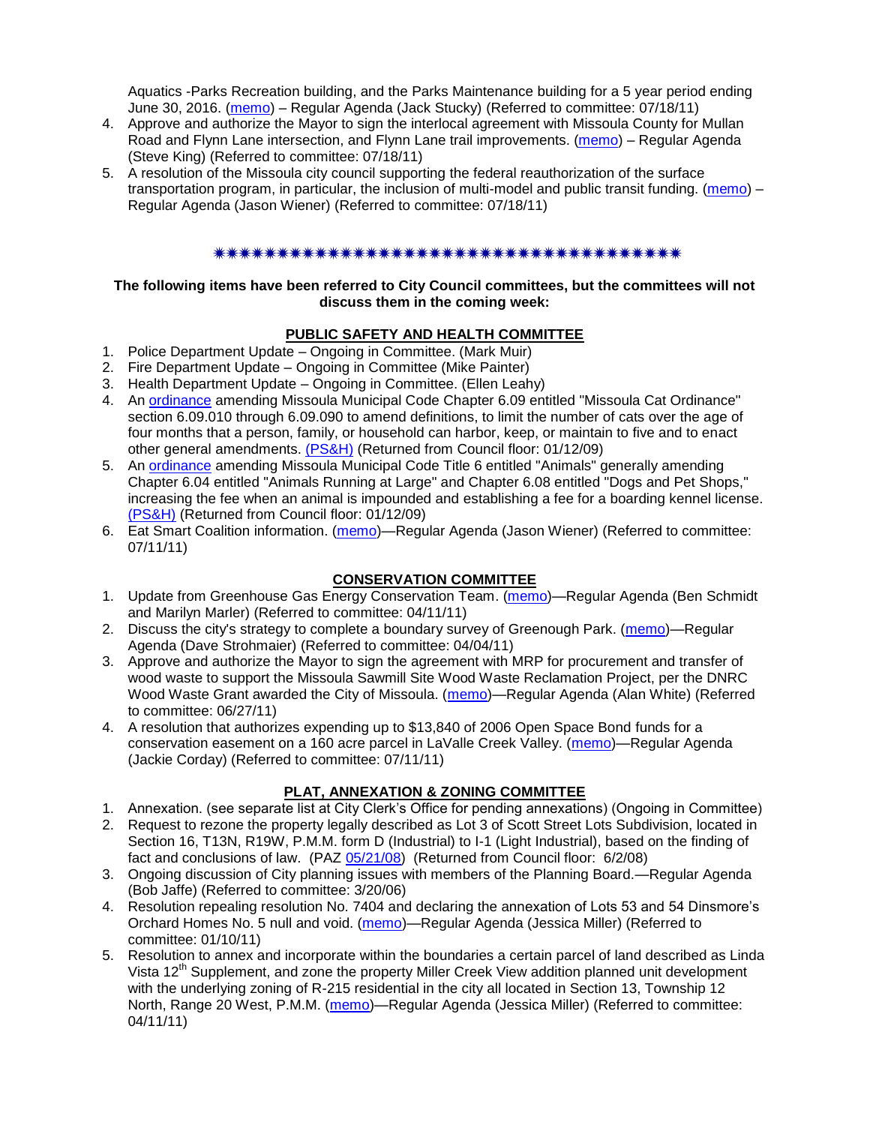Aquatics -Parks Recreation building, and the Parks Maintenance building for a 5 year period ending June 30, 2016. [\(memo\)](http://www.ci.missoula.mt.us/DocumentView.aspx?DID=6856) – Regular Agenda (Jack Stucky) (Referred to committee: 07/18/11)

- 4. Approve and authorize the Mayor to sign the interlocal agreement with Missoula County for Mullan Road and Flynn Lane intersection, and Flynn Lane trail improvements. [\(memo\)](http://www.ci.missoula.mt.us/DocumentView.aspx?DID=6857) – Regular Agenda (Steve King) (Referred to committee: 07/18/11)
- 5. A resolution of the Missoula city council supporting the federal reauthorization of the surface transportation program, in particular, the inclusion of multi-model and public transit funding. [\(memo\)](http://www.ci.missoula.mt.us/DocumentView.aspx?DID=6862) – Regular Agenda (Jason Wiener) (Referred to committee: 07/18/11)

# \*\*\*\*\*\*\*\*\*\*\*\*\*\*\*\*\*\*\*\*\*\*\*\*\*\*\*\*\*\*\*\*\*\*

#### **The following items have been referred to City Council committees, but the committees will not discuss them in the coming week:**

## **PUBLIC SAFETY AND HEALTH COMMITTEE**

- 1. Police Department Update Ongoing in Committee. (Mark Muir)
- 2. Fire Department Update Ongoing in Committee (Mike Painter)
- 3. Health Department Update Ongoing in Committee. (Ellen Leahy)
- 4. An [ordinance](ftp://ftp.ci.missoula.mt.us/Packets/Council/2008/2008-12-15/2008CatOrdinanceAmendment%5B1%5D.pdf) amending Missoula Municipal Code Chapter 6.09 entitled "Missoula Cat Ordinance" section 6.09.010 through 6.09.090 to amend definitions, to limit the number of cats over the age of four months that a person, family, or household can harbor, keep, or maintain to five and to enact other general amendments. [\(PS&H\)](ftp://ftp.ci.missoula.mt.us/Packets/Council/2008/2008-12-15/081210psh.pdf) (Returned from Council floor: 01/12/09)
- 5. An [ordinance](ftp://ftp.ci.missoula.mt.us/Packets/Council/2008/2008-12-15/DogOrdinance--PSHrevisions.pdf) amending Missoula Municipal Code Title 6 entitled "Animals" generally amending Chapter 6.04 entitled "Animals Running at Large" and Chapter 6.08 entitled "Dogs and Pet Shops," increasing the fee when an animal is impounded and establishing a fee for a boarding kennel license. [\(PS&H\)](ftp://ftp.ci.missoula.mt.us/Packets/Council/2008/2008-12-15/081210psh.pdf) (Returned from Council floor: 01/12/09)
- 6. Eat Smart Coalition information. [\(memo\)](http://www.ci.missoula.mt.us/DocumentView.aspx?DID=6776)—Regular Agenda (Jason Wiener) (Referred to committee: 07/11/11)

## **CONSERVATION COMMITTEE**

- 1. Update from Greenhouse Gas Energy Conservation Team. [\(memo\)](http://www.ci.missoula.mt.us/DocumentView.aspx?DID=5945)—Regular Agenda (Ben Schmidt and Marilyn Marler) (Referred to committee: 04/11/11)
- 2. Discuss the city's strategy to complete a boundary survey of Greenough Park. [\(memo\)](http://www.ci.missoula.mt.us/DocumentView.aspx?DID=5875)—Regular Agenda (Dave Strohmaier) (Referred to committee: 04/04/11)
- 3. Approve and authorize the Mayor to sign the agreement with MRP for procurement and transfer of wood waste to support the Missoula Sawmill Site Wood Waste Reclamation Project, per the DNRC Wood Waste Grant awarded the City of Missoula. [\(memo\)](http://www.ci.missoula.mt.us/DocumentView.aspx?DID=6682)—Regular Agenda (Alan White) (Referred to committee: 06/27/11)
- 4. A resolution that authorizes expending up to \$13,840 of 2006 Open Space Bond funds for a conservation easement on a 160 acre parcel in LaValle Creek Valley. [\(memo\)](http://www.ci.missoula.mt.us/DocumentView.aspx?DID=6797)—Regular Agenda (Jackie Corday) (Referred to committee: 07/11/11)

## **PLAT, ANNEXATION & ZONING COMMITTEE**

- 1. Annexation. (see separate list at City Clerk's Office for pending annexations) (Ongoing in Committee)
- 2. Request to rezone the property legally described as Lot 3 of Scott Street Lots Subdivision, located in Section 16, T13N, R19W, P.M.M. form D (Industrial) to I-1 (Light Industrial), based on the finding of fact and conclusions of law. (PAZ [05/21/08\)](ftp://ftp.ci.missoula.mt.us/Packets/Council/2008/2008-06-02/080521paz.pdf) (Returned from Council floor: 6/2/08)
- 3. Ongoing discussion of City planning issues with members of the Planning Board.—Regular Agenda (Bob Jaffe) (Referred to committee: 3/20/06)
- 4. Resolution repealing resolution No. 7404 and declaring the annexation of Lots 53 and 54 Dinsmore's Orchard Homes No. 5 null and void. [\(memo\)](http://www.ci.missoula.mt.us/DocumentView.aspx?DID=5349)—Regular Agenda (Jessica Miller) (Referred to committee: 01/10/11)
- 5. Resolution to annex and incorporate within the boundaries a certain parcel of land described as Linda Vista 12<sup>th</sup> Supplement, and zone the property Miller Creek View addition planned unit development with the underlying zoning of R-215 residential in the city all located in Section 13, Township 12 North, Range 20 West, P.M.M. [\(memo\)](http://www.ci.missoula.mt.us/DocumentView.aspx?DID=5992)—Regular Agenda (Jessica Miller) (Referred to committee: 04/11/11)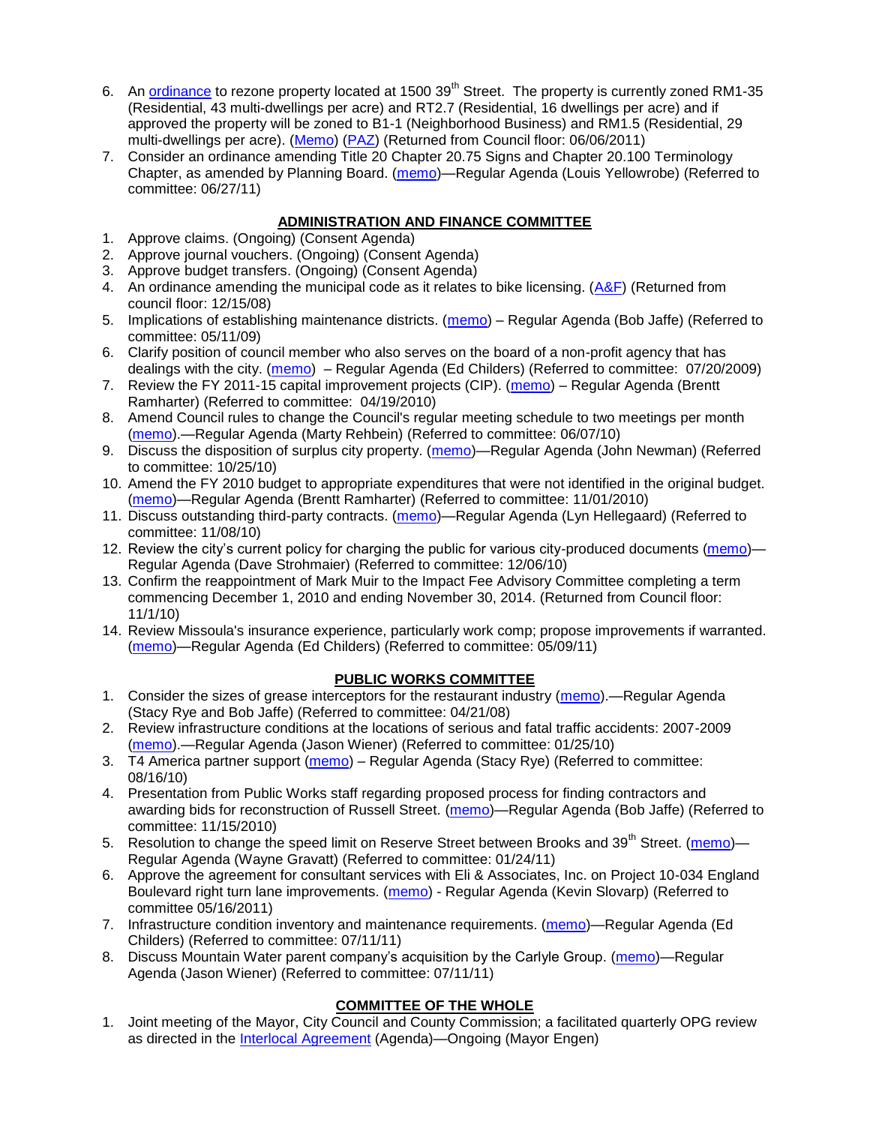- 6. An [ordinance](http://www.ci.missoula.mt.us/DocumentView.aspx?DID=6463) to rezone property located at  $1500 39<sup>th</sup>$  Street. The property is currently zoned RM1-35 (Residential, 43 multi-dwellings per acre) and RT2.7 (Residential, 16 dwellings per acre) and if approved the property will be zoned to B1-1 (Neighborhood Business) and RM1.5 (Residential, 29 multi-dwellings per acre). [\(Memo\)](http://www.ci.missoula.mt.us/DocumentView.aspx?DID=6469) [\(PAZ\)](http://www.ci.missoula.mt.us/Archive.aspx?ADID=4010) (Returned from Council floor: 06/06/2011)
- 7. Consider an ordinance amending Title 20 Chapter 20.75 Signs and Chapter 20.100 Terminology Chapter, as amended by Planning Board. [\(memo\)](http://www.ci.missoula.mt.us/DocumentView.aspx?DID=6725)—Regular Agenda (Louis Yellowrobe) (Referred to committee: 06/27/11)

# **ADMINISTRATION AND FINANCE COMMITTEE**

- 1. Approve claims. (Ongoing) (Consent Agenda)
- 2. Approve journal vouchers. (Ongoing) (Consent Agenda)
- 3. Approve budget transfers. (Ongoing) (Consent Agenda)
- 4. An ordinance amending the municipal code as it relates to bike licensing.  $(A&F)$  (Returned from council floor: 12/15/08)
- 5. Implications of establishing maintenance districts. [\(memo\)](ftp://ftp.ci.missoula.mt.us/Packets/Council/2009/2009-05-11/Referrals/MaintenanceDistricts.pdf) Regular Agenda (Bob Jaffe) (Referred to committee: 05/11/09)
- 6. Clarify position of council member who also serves on the board of a non-profit agency that has dealings with the city. [\(memo\)](http://www.ci.missoula.mt.us/DocumentView.aspx?DID=1840) – Regular Agenda (Ed Childers) (Referred to committee: 07/20/2009)
- 7. Review the FY 2011-15 capital improvement projects (CIP). [\(memo\)](http://www.ci.missoula.mt.us/DocumentView.aspx?DID=3522) Regular Agenda (Brentt Ramharter) (Referred to committee: 04/19/2010)
- 8. Amend Council rules to change the Council's regular meeting schedule to two meetings per month [\(memo\)](http://www.ci.missoula.mt.us/DocumentView.aspx?DID=4027).—Regular Agenda (Marty Rehbein) (Referred to committee: 06/07/10)
- 9. Discuss the disposition of surplus city property. [\(memo\)](http://www.ci.missoula.mt.us/DocumentView.aspx?DID=4862)—Regular Agenda (John Newman) (Referred to committee: 10/25/10)
- 10. Amend the FY 2010 budget to appropriate expenditures that were not identified in the original budget. [\(memo\)](http://www.ci.missoula.mt.us/DocumentView.aspx?DID=4883)—Regular Agenda (Brentt Ramharter) (Referred to committee: 11/01/2010)
- 11. Discuss outstanding third-party contracts. [\(memo\)](http://www.ci.missoula.mt.us/DocumentView.aspx?DID=4956)—Regular Agenda (Lyn Hellegaard) (Referred to committee: 11/08/10)
- 12. Review the city's current policy for charging the public for various city-produced documents [\(memo\)](http://www.ci.missoula.mt.us/DocumentView.aspx?DID=5143) Regular Agenda (Dave Strohmaier) (Referred to committee: 12/06/10)
- 13. Confirm the reappointment of Mark Muir to the Impact Fee Advisory Committee completing a term commencing December 1, 2010 and ending November 30, 2014. (Returned from Council floor: 11/1/10)
- 14. Review Missoula's insurance experience, particularly work comp; propose improvements if warranted. [\(memo\)](http://www.ci.missoula.mt.us/DocumentView.aspx?DID=6381)—Regular Agenda (Ed Childers) (Referred to committee: 05/09/11)

## **PUBLIC WORKS COMMITTEE**

- 1. Consider the sizes of grease interceptors for the restaurant industry [\(memo\)](ftp://ftp.ci.missoula.mt.us/Packets/Council/2008/2008-04-21/Referrals/Industrial_waste_restaurants.pdf).—Regular Agenda (Stacy Rye and Bob Jaffe) (Referred to committee: 04/21/08)
- 2. Review infrastructure conditions at the locations of serious and fatal traffic accidents: 2007-2009 [\(memo\)](http://www.ci.missoula.mt.us/DocumentView.aspx?DID=3031).—Regular Agenda (Jason Wiener) (Referred to committee: 01/25/10)
- 3. T4 America partner support [\(memo\)](http://www.ci.missoula.mt.us/DocumentView.aspx?DID=4452) Regular Agenda (Stacy Rye) (Referred to committee: 08/16/10)
- 4. Presentation from Public Works staff regarding proposed process for finding contractors and awarding bids for reconstruction of Russell Street. [\(memo\)](http://www.ci.missoula.mt.us/DocumentView.aspx?DID=5042)—Regular Agenda (Bob Jaffe) (Referred to committee: 11/15/2010)
- 5. Resolution to change the speed limit on Reserve Street between Brooks and 39<sup>th</sup> Street. [\(memo\)](http://www.ci.missoula.mt.us/DocumentView.aspx?DID=5418) Regular Agenda (Wayne Gravatt) (Referred to committee: 01/24/11)
- 6. Approve the agreement for consultant services with Eli & Associates, Inc. on Project 10-034 England Boulevard right turn lane improvements. [\(memo\)](http://www.ci.missoula.mt.us/DocumentView.aspx?DID=6419) - Regular Agenda (Kevin Slovarp) (Referred to committee 05/16/2011)
- 7. Infrastructure condition inventory and maintenance requirements. [\(memo\)](http://www.ci.missoula.mt.us/DocumentView.aspx?DID=6751)—Regular Agenda (Ed Childers) (Referred to committee: 07/11/11)
- 8. Discuss Mountain Water parent company's acquisition by the Carlyle Group. [\(memo\)](http://www.ci.missoula.mt.us/DocumentView.aspx?DID=6777)—Regular Agenda (Jason Wiener) (Referred to committee: 07/11/11)

# **COMMITTEE OF THE WHOLE**

1. Joint meeting of the Mayor, City Council and County Commission; a facilitated quarterly OPG review as directed in the Interlocal [Agreement](ftp://ftp.ci.missoula.mt.us/Documents/Mayor/OPG/Adopted-ILA-2005.pdf) (Agenda)—Ongoing (Mayor Engen)